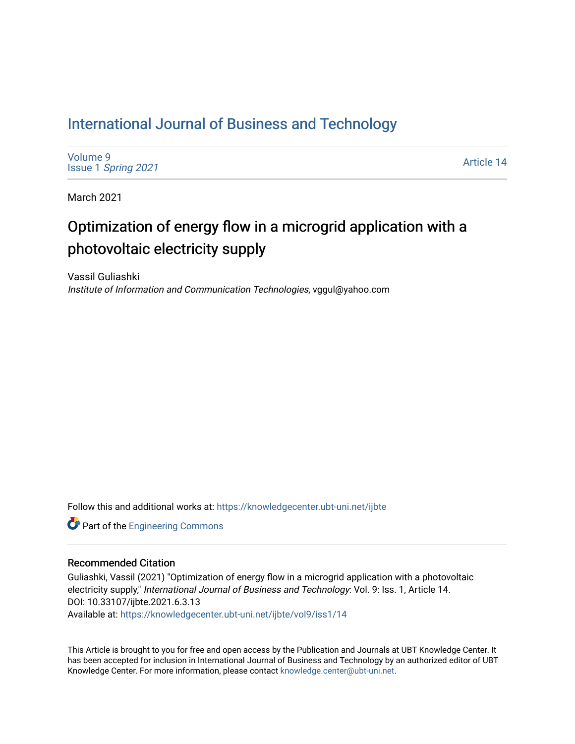# [International Journal of Business and Technology](https://knowledgecenter.ubt-uni.net/ijbte)

[Volume 9](https://knowledgecenter.ubt-uni.net/ijbte/vol9) Issue 1 [Spring 2021](https://knowledgecenter.ubt-uni.net/ijbte/vol9/iss1) 

[Article 14](https://knowledgecenter.ubt-uni.net/ijbte/vol9/iss1/14) 

March 2021

# Optimization of energy flow in a microgrid application with a photovoltaic electricity supply

Vassil Guliashki Institute of Information and Communication Technologies, vggul@yahoo.com

Follow this and additional works at: [https://knowledgecenter.ubt-uni.net/ijbte](https://knowledgecenter.ubt-uni.net/ijbte?utm_source=knowledgecenter.ubt-uni.net%2Fijbte%2Fvol9%2Fiss1%2F14&utm_medium=PDF&utm_campaign=PDFCoverPages) 

**Part of the [Engineering Commons](https://network.bepress.com/hgg/discipline/217?utm_source=knowledgecenter.ubt-uni.net%2Fijbte%2Fvol9%2Fiss1%2F14&utm_medium=PDF&utm_campaign=PDFCoverPages)** 

## Recommended Citation

Guliashki, Vassil (2021) "Optimization of energy flow in a microgrid application with a photovoltaic electricity supply," International Journal of Business and Technology: Vol. 9: Iss. 1, Article 14. DOI: 10.33107/ijbte.2021.6.3.13 Available at: [https://knowledgecenter.ubt-uni.net/ijbte/vol9/iss1/14](https://knowledgecenter.ubt-uni.net/ijbte/vol9/iss1/14?utm_source=knowledgecenter.ubt-uni.net%2Fijbte%2Fvol9%2Fiss1%2F14&utm_medium=PDF&utm_campaign=PDFCoverPages) 

This Article is brought to you for free and open access by the Publication and Journals at UBT Knowledge Center. It has been accepted for inclusion in International Journal of Business and Technology by an authorized editor of UBT Knowledge Center. For more information, please contact [knowledge.center@ubt-uni.net](mailto:knowledge.center@ubt-uni.net).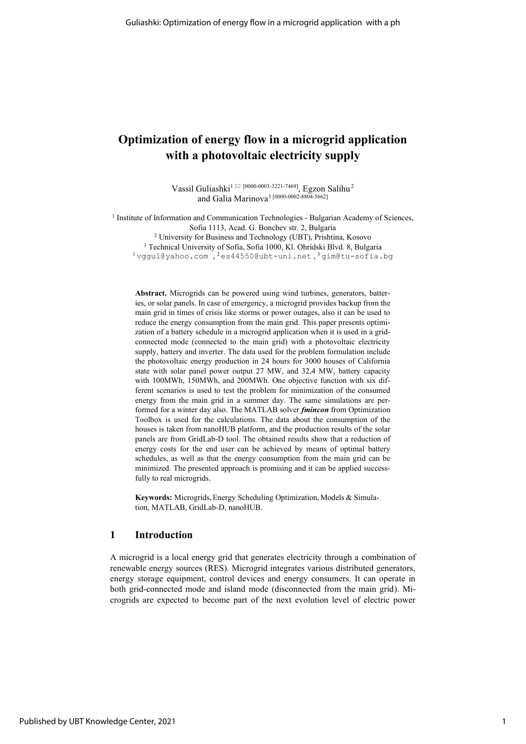## **Optimization of energy flow in a microgrid application with a photovoltaic electricity supply**

Vassil Guliashki $^{1\boxtimes}$  [\[0000-0003-3221-7469\]](https://orcid.org/0000-0003-3221-7469), Egzon Salihu<sup>2</sup> and Galia Marinova3 [\[0000-0002-8804-5662\]](https://orcid.org/0000-0002-8804-5662)

<sup>1</sup> Institute of Information and Communication Technologies - Bulgarian Academy of Sciences, Sofia 1113, Acad. G. Bonchev str. 2, Bulgaria <sup>2</sup> University for Business and Technology (UBT), Prishtina, Kosovo

<sup>3</sup> Technical University of Sofia, Sofia 1000, Kl. Ohridski Blvd. 8, Bulgaria  $1$ vggul@yahoo.com, $2$ [es44550@ubt-uni.net](mailto:es44550@ubt-uni.net), $3$ gim@tu-sofia.bg

**Abstract.** Microgrids can be powered using wind turbines, generators, batteries, or solar panels. In case of emergency, a microgrid provides backup from the main grid in times of crisis like storms or power outages, also it can be used to reduce the energy consumption from the main grid. This paper presents optimization of a battery schedule in a microgrid application when it is used in a gridconnected mode (connected to the main grid) with a photovoltaic electricity supply, battery and inverter. The data used for the problem formulation include the photovoltaic energy production in 24 hours for 3000 houses of California state with solar panel power output 27 MW, and 32,4 MW, battery capacity with 100MWh, 150MWh, and 200MWh. One objective function with six different scenarios is used to test the problem for minimization of the consumed energy from the main grid in a summer day. The same simulations are performed for a winter day also. The MATLAB solver *fmincon* from Optimization Toolbox is used for the calculations. The data about the consumption of the houses is taken from nanoHUB platform, and the production results of the solar panels are from GridLab-D tool. The obtained results show that a reduction of energy costs for the end user can be achieved by means of optimal battery schedules, as well as that the energy consumption from the main grid can be minimized. The presented approach is promising and it can be applied successfully to real microgrids.

**Keywords:** Microgrids,Energy Scheduling Optimization, Models & Simulation, MATLAB, GridLab-D, nanoHUB.

## **1 Introduction**

A microgrid is a local energy grid that generates electricity through a combination of renewable energy sources (RES). Microgrid integrates various distributed generators, energy storage equipment, control devices and energy consumers. It can operate in both grid-connected mode and island mode (disconnected from the main grid). Microgrids are expected to become part of the next evolution level of electric power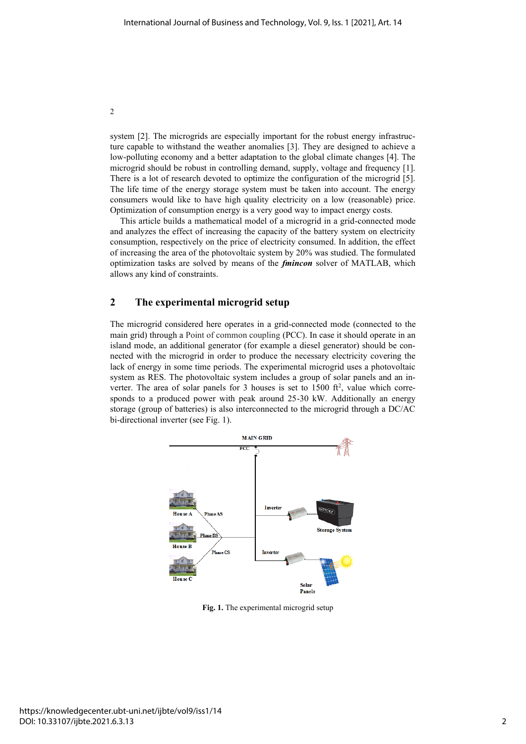system [2]. The microgrids are especially important for the robust energy infrastructure capable to withstand the weather anomalies [3]. They are designed to achieve a low-polluting economy and a better adaptation to the global climate changes [4]. The microgrid should be robust in controlling demand, supply, voltage and frequency [1]. There is a lot of research devoted to optimize the configuration of the microgrid [5]. The life time of the energy storage system must be taken into account. The energy consumers would like to have high quality electricity on a low (reasonable) price. Optimization of consumption energy is a very good way to impact energy costs.

This article builds a mathematical model of a microgrid in a grid-connected mode and analyzes the effect of increasing the capacity of the battery system on electricity consumption, respectively on the price of electricity consumed. In addition, the effect of increasing the area of the photovoltaic system by 20% was studied. The formulated optimization tasks are solved by means of the *fmincon* solver of MATLAB, which allows any kind of constraints.

## **2 The experimental microgrid setup**

The microgrid considered here operates in a grid-connected mode (connected to the main grid) through a Point of common coupling (PCC). In case it should operate in an island mode, an additional generator (for example a diesel generator) should be connected with the microgrid in order to produce the necessary electricity covering the lack of energy in some time periods. The experimental microgrid uses a photovoltaic system as RES. The photovoltaic system includes a group of solar panels and an inverter. The area of solar panels for 3 houses is set to  $1500$  ft<sup>2</sup>, value which corresponds to a produced power with peak around 25-30 kW. Additionally an energy storage (group of batteries) is also interconnected to the microgrid through a DC/AC bi-directional inverter (see Fig. 1).



**Fig. 1.** The experimental microgrid setup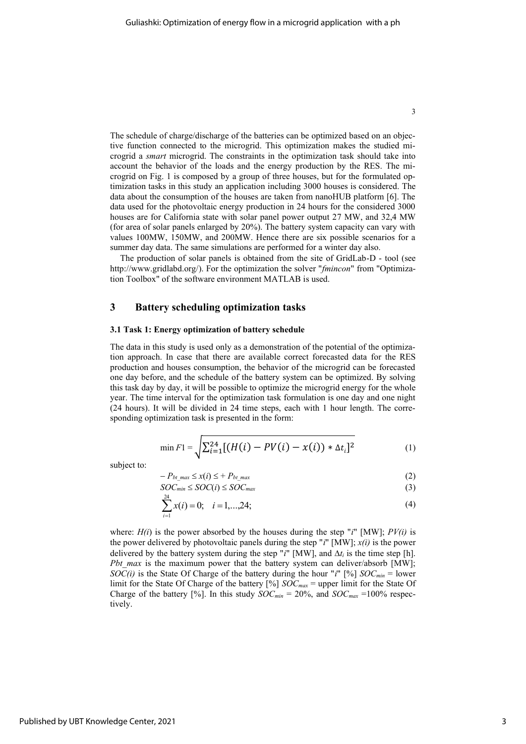The schedule of charge/discharge of the batteries can be optimized based on an objective function connected to the microgrid. This optimization makes the studied microgrid a *smart* microgrid. The constraints in the optimization task should take into account the behavior of the loads and the energy production by the RES. The microgrid on Fig. 1 is composed by a group of three houses, but for the formulated optimization tasks in this study an application including 3000 houses is considered. The data about the consumption of the houses are taken from nanoHUB platform [6]. The data used for the photovoltaic energy production in 24 hours for the considered 3000 houses are for California state with solar panel power output 27 MW, and 32,4 MW (for area of solar panels enlarged by 20%). The battery system capacity can vary with values 100MW, 150MW, and 200MW. Hence there are six possible scenarios for a summer day data. The same simulations are performed for a winter day also.

The production of solar panels is obtained from the site of GridLab-D - tool (see [http://www.gridlabd.org/\)](http://www.gridlabd.org/). For the optimization the solver "*fmincon*" from "Optimization Toolbox" of the software environment MATLAB is used.

## **3 Battery scheduling optimization tasks**

#### **3.1 Task 1: Energy optimization of battery schedule**

The data in this study is used only as a demonstration of the potential of the optimization approach. In case that there are available correct forecasted data for the RES production and houses consumption, the behavior of the microgrid can be forecasted one day before, and the schedule of the battery system can be optimized. By solving this task day by day, it will be possible to optimize the microgrid energy for the whole year. The time interval for the optimization task formulation is one day and one night (24 hours). It will be divided in 24 time steps, each with 1 hour length. The corresponding optimization task is presented in the form:

$$
\min F1 = \sqrt{\sum_{i=1}^{24} [(H(i) - PV(i) - x(i)) * \Delta t_i]^2}
$$
 (1)

subject to:

$$
-P_{bt\_max} \leq x(i) \leq +P_{bt\_max} \tag{2}
$$

$$
SOC_{min} \leq SOC(i) \leq SOC_{max} \tag{3}
$$

$$
\sum_{i=1}^{24} x(i) = 0; \quad i = 1,...,24; \tag{4}
$$

where:  $H(i)$  is the power absorbed by the houses during the step "*i*" [MW];  $PV(i)$  is the power delivered by photovoltaic panels during the step "*i*" [MW]; *x(i)* is the power delivered by the battery system during the step "*i*" [MW], and  $\Delta t_i$  is the time step [h]. *Pbt max* is the maximum power that the battery system can deliver/absorb [MW]; *SOC(i)* is the State Of Charge of the battery during the hour "*i*" [%] *SOCmin* = lower limit for the State Of Charge of the battery [%] *SOCmax* = upper limit for the State Of Charge of the battery [%]. In this study  $SOC_{min} = 20\%$ , and  $SOC_{max} = 100\%$  respectively.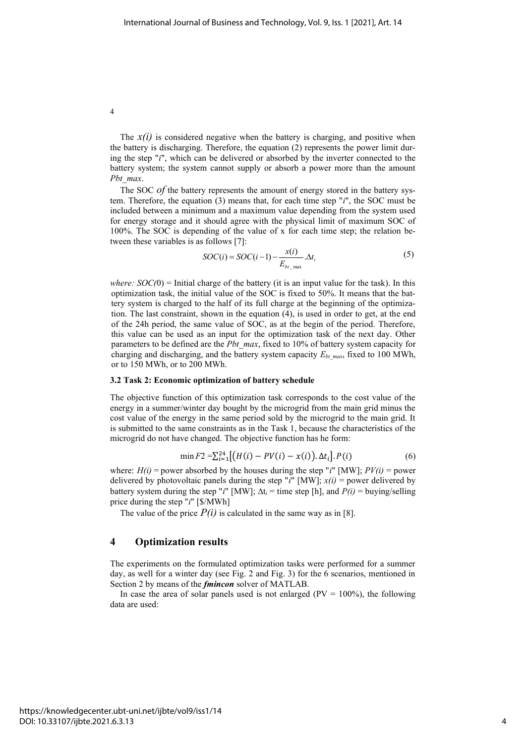The  $x(i)$  is considered negative when the battery is charging, and positive when the battery is discharging. Therefore, the equation (2) represents the power limit during the step "*i*", which can be delivered or absorbed by the inverter connected to the battery system; the system cannot supply or absorb a power more than the amount *Pbt\_max*.

The SOC *of* the battery represents the amount of energy stored in the battery system. Therefore, the equation (3) means that, for each time step "*i*", the SOC must be included between a minimum and a maximum value depending from the system used for energy storage and it should agree with the physical limit of maximum SOC of 100%. The SOC is depending of the value of x for each time step; the relation between these variables is as follows [7]:

$$
SOC(i) = SOC(i-1) - \frac{x(i)}{E_{bt \text{ max}}} \Delta t_i
$$
 (5)

*where:*  $SOC(0)$  = Initial charge of the battery (it is an input value for the task). In this optimization task, the initial value of the SOC is fixed to 50%. It means that the battery system is charged to the half of its full charge at the beginning of the optimization. The last constraint, shown in the equation (4), is used in order to get, at the end of the 24h period, the same value of SOC, as at the begin of the period. Therefore, this value can be used as an input for the optimization task of the next day. Other parameters to be defined are the *Pbt\_max*, fixed to 10% of battery system capacity for charging and discharging, and the battery system capacity  $E_{bt\ max}$ , fixed to 100 MWh, or to 150 MWh, or to 200 MWh.

#### **3.2 Task 2: Economic optimization of battery schedule**

The objective function of this optimization task corresponds to the cost value of the energy in a summer/winter day bought by the microgrid from the main grid minus the cost value of the energy in the same period sold by the microgrid to the main grid. It is submitted to the same constraints as in the Task 1, because the characteristics of the microgrid do not have changed. The objective function has he form:

$$
\min F2 = \sum_{i=1}^{24} [(H(i) - PV(i) - x(i)).\Delta t_i]. P(i)
$$
 (6)

where:  $H(i)$  = power absorbed by the houses during the step "*i*" [MW];  $PV(i)$  = power delivered by photovoltaic panels during the step "*i*" [MW];  $x(i)$  = power delivered by battery system during the step "*i*" [MW];  $\Delta t_i$  = time step [h], and  $P(i)$  = buying/selling price during the step "*i*" [\$/MWh]

The value of the price  $P(i)$  is calculated in the same way as in [8].

## **4 Optimization results**

The experiments on the formulated optimization tasks were performed for a summer day, as well for a winter day (see Fig. 2 and Fig. 3) for the 6 scenarios, mentioned in Section 2 by means of the *fmincon* solver of MATLAB.

In case the area of solar panels used is not enlarged ( $PV = 100\%$ ), the following data are used: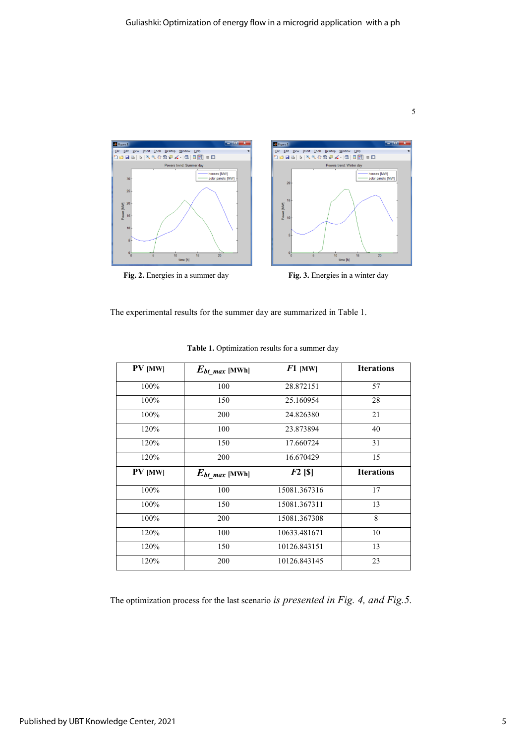

The experimental results for the summer day are summarized in Table 1.

| PV [MW]        | $E_{bt}$ max [MWh]  | $F1$ [MW]    | <b>Iterations</b> |
|----------------|---------------------|--------------|-------------------|
| 100%           | 100                 | 28.872151    | 57                |
| 100%           | 150                 | 25.160954    | 28                |
| 100%           | 200                 | 24.826380    | 21                |
| 120%           | 100                 | 23.873894    | 40                |
| 120%           | 150                 | 17.660724    | 31                |
| 120%           | 200                 | 16.670429    | 15                |
|                |                     |              |                   |
| <b>PV</b> [MW] | $E_{bt\_max}$ [MWh] | $F2$ [S]     | <b>Iterations</b> |
| 100%           | 100                 | 15081.367316 | 17                |
| 100%           | 150                 | 15081.367311 | 13                |
| 100%           | 200                 | 15081.367308 | 8                 |
| 120%           | 100                 | 10633.481671 | 10                |
| 120%           | 150                 | 10126.843151 | 13                |

**Table 1.** Optimization results for a summer day

The optimization process for the last scenario *is presented in Fig. 4, and Fig.5.*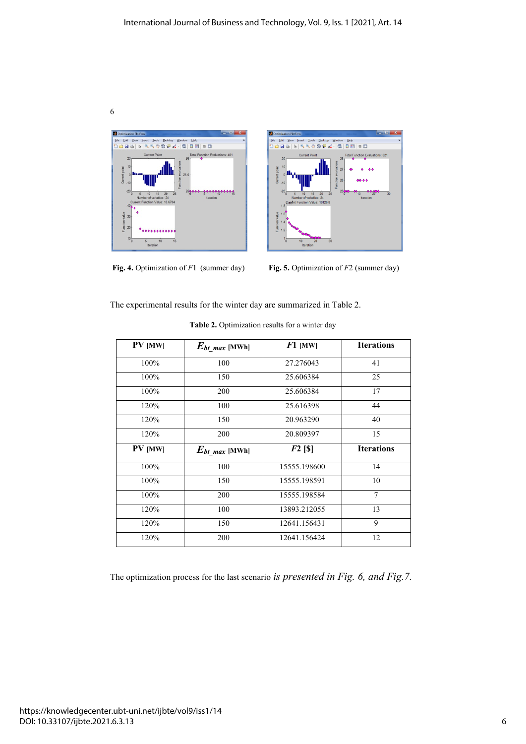





**Fig. 4.** Optimization of *F*1 (summer day) **Fig. 5.** Optimization of *F*2 (summer day)

The experimental results for the winter day are summarized in Table 2.

| PV [MW]        | $E_{bt}$ max [MWh] | $F1$ [MW]    | <b>Iterations</b> |
|----------------|--------------------|--------------|-------------------|
| 100%           | 100                | 27.276043    | 41                |
| 100%           | 150                | 25.606384    | 25                |
| 100%           | 200                | 25.606384    | 17                |
| 120%           | 100                | 25.616398    | 44                |
| 120%           | 150                | 20.963290    | 40                |
| 120%           | 200                | 20.809397    | 15                |
| <b>PV</b> [MW] | $E_{bt}$ max [MWh] | $F2$ [S]     | <b>Iterations</b> |
| 100%           | 100                | 15555.198600 | 14                |
| 100%           | 150                | 15555.198591 | 10                |
| 100%           | 200                | 15555.198584 | $\overline{7}$    |
| 120%           | 100                | 13893.212055 | 13                |
| 120%           | 150                | 12641.156431 | 9                 |
| 120%           | 200                | 12641.156424 | 12                |

Table 2. Optimization results for a winter day

The optimization process for the last scenario *is presented in Fig. 6, and Fig.7.*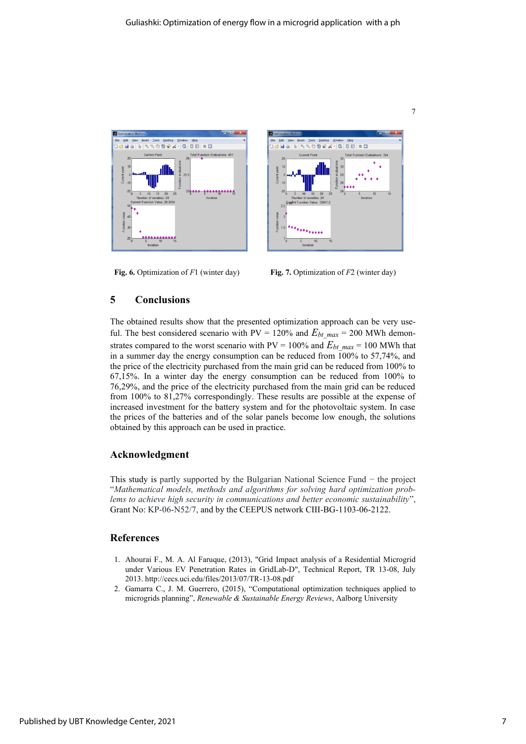



**Fig. 6.** Optimization of *F*1 (winter day) **Fig. 7.** Optimization of *F*2 (winter day)

## **5 Conclusions**

The obtained results show that the presented optimization approach can be very useful. The best considered scenario with  $PV = 120\%$  and  $E_{bt \text{ max}} = 200$  MWh demonstrates compared to the worst scenario with  $PV = 100\%$  and  $E_{bt \, max} = 100$  MWh that in a summer day the energy consumption can be reduced from 100% to 57,74%, and the price of the electricity purchased from the main grid can be reduced from 100% to 67,15%. In a winter day the energy consumption can be reduced from 100% to 76,29%, and the price of the electricity purchased from the main grid can be reduced from 100% to 81,27% correspondingly. These results are possible at the expense of increased investment for the battery system and for the photovoltaic system. In case the prices of the batteries and of the solar panels become low enough, the solutions obtained by this approach can be used in practice.

#### **Acknowledgment**

This study is partly supported by the Bulgarian National Science Fund − the project "*Mathematical models, methods and algorithms for solving hard optimization problems to achieve high security in communications and better economic sustainability*", Grant No: KP-06-N52/7, and by the CEEPUS network CIII-BG-1103-06-2122.

#### **References**

- 1. Ahourai F., M. A. Al Faruque, (2013), "Grid Impact analysis of a Residential Microgrid under Various EV Penetration Rates in GridLab-D", Technical Report, TR 13-08, July 2013. http://cecs.uci.edu/files/2013/07/TR-13-08.pdf
- 2. Gamarra C., J. M. Guerrero, (2015), "Computational optimization techniques applied to microgrids planning", *Renewable & Sustainable Energy Reviews*, Aalborg University